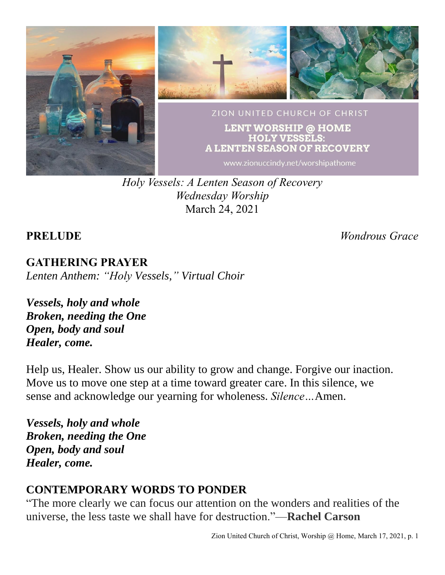

*Holy Vessels: A Lenten Season of Recovery Wednesday Worship* March 24, 2021

**PRELUDE** *Wondrous Grace*

**GATHERING PRAYER** *Lenten Anthem: "Holy Vessels," Virtual Choir*

*Vessels, holy and whole Broken, needing the One Open, body and soul Healer, come.*

Help us, Healer. Show us our ability to grow and change. Forgive our inaction. Move us to move one step at a time toward greater care. In this silence, we sense and acknowledge our yearning for wholeness. *Silence…*Amen.

*Vessels, holy and whole Broken, needing the One Open, body and soul Healer, come.*

## **CONTEMPORARY WORDS TO PONDER**

"The more clearly we can focus our attention on the wonders and realities of the universe, the less taste we shall have for destruction."—**Rachel Carson**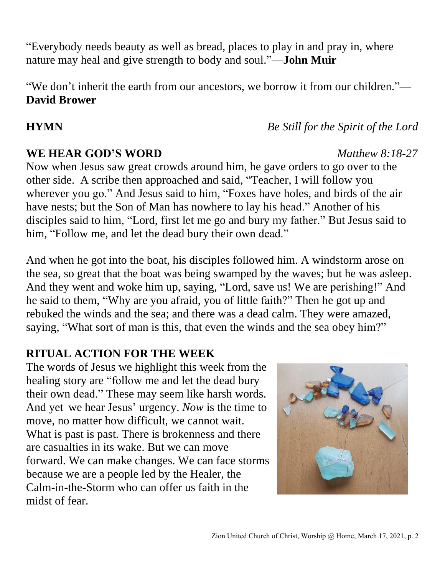"Everybody needs beauty as well as bread, places to play in and pray in, where nature may heal and give strength to body and soul."—**John Muir**

"We don't inherit the earth from our ancestors, we borrow it from our children."— **David Brower**

### **WE HEAR GOD'S WORD** *Matthew 8:18-27*

Now when Jesus saw great crowds around him, he gave orders to go over to the other side. A scribe then approached and said, "Teacher, I will follow you wherever you go." And Jesus said to him, "Foxes have holes, and birds of the air have nests; but the Son of Man has nowhere to lay his head." Another of his disciples said to him, "Lord, first let me go and bury my father." But Jesus said to him, "Follow me, and let the dead bury their own dead."

And when he got into the boat, his disciples followed him. A windstorm arose on the sea, so great that the boat was being swamped by the waves; but he was asleep. And they went and woke him up, saying, "Lord, save us! We are perishing!" And he said to them, "Why are you afraid, you of little faith?" Then he got up and rebuked the winds and the sea; and there was a dead calm. They were amazed, saying, "What sort of man is this, that even the winds and the sea obey him?"

## **RITUAL ACTION FOR THE WEEK**

The words of Jesus we highlight this week from the healing story are "follow me and let the dead bury their own dead." These may seem like harsh words. And yet we hear Jesus' urgency. *Now* is the time to move, no matter how difficult, we cannot wait. What is past is past. There is brokenness and there are casualties in its wake. But we can move forward. We can make changes. We can face storms because we are a people led by the Healer, the Calm-in-the-Storm who can offer us faith in the midst of fear.



**HYMN** *Be Still for the Spirit of the Lord*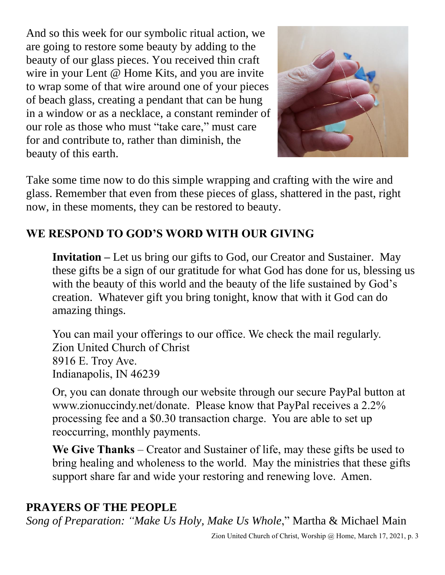And so this week for our symbolic ritual action, we are going to restore some beauty by adding to the beauty of our glass pieces. You received thin craft wire in your Lent @ Home Kits, and you are invite to wrap some of that wire around one of your pieces of beach glass, creating a pendant that can be hung in a window or as a necklace, a constant reminder of our role as those who must "take care," must care for and contribute to, rather than diminish, the beauty of this earth.



Take some time now to do this simple wrapping and crafting with the wire and glass. Remember that even from these pieces of glass, shattered in the past, right now, in these moments, they can be restored to beauty.

# **WE RESPOND TO GOD'S WORD WITH OUR GIVING**

**Invitation –** Let us bring our gifts to God, our Creator and Sustainer. May these gifts be a sign of our gratitude for what God has done for us, blessing us with the beauty of this world and the beauty of the life sustained by God's creation. Whatever gift you bring tonight, know that with it God can do amazing things.

You can mail your offerings to our office. We check the mail regularly. Zion United Church of Christ 8916 E. Troy Ave. Indianapolis, IN 46239

Or, you can donate through our website through our secure PayPal button at www.zionuccindy.net/donate. Please know that PayPal receives a 2.2% processing fee and a \$0.30 transaction charge. You are able to set up reoccurring, monthly payments.

**We Give Thanks** – Creator and Sustainer of life, may these gifts be used to bring healing and wholeness to the world. May the ministries that these gifts support share far and wide your restoring and renewing love. Amen.

## **PRAYERS OF THE PEOPLE**

*Song of Preparation: "Make Us Holy, Make Us Whole*," Martha & Michael Main